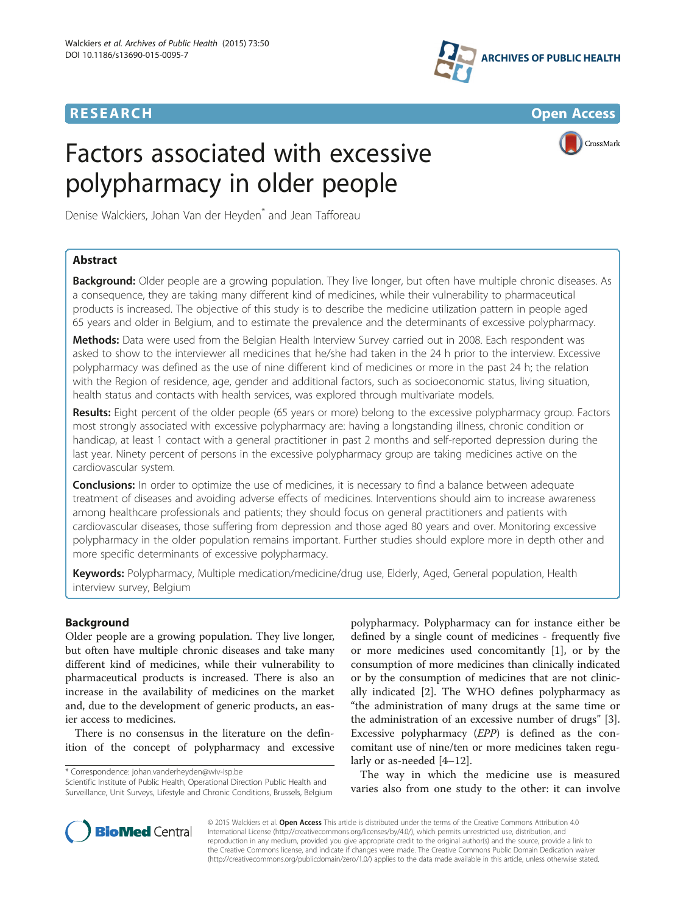## **RESEARCH CHINESE ARCH CHINESE ARCHITECT ARCHITECT ARCHITECT ARCHITECT ARCHITECT ARCHITECT ARCHITECT ARCHITECT ARCHITECT ARCHITECT ARCHITECT ARCHITECT ARCHITECT ARCHITECT ARCHITECT ARCHITECT ARCHITECT ARCHITECT ARCHITE**



# Factors associated with excessive polypharmacy in older people



Denise Walckiers, Johan Van der Heyden<sup>\*</sup> and Jean Tafforeau

## Abstract

Background: Older people are a growing population. They live longer, but often have multiple chronic diseases. As a consequence, they are taking many different kind of medicines, while their vulnerability to pharmaceutical products is increased. The objective of this study is to describe the medicine utilization pattern in people aged 65 years and older in Belgium, and to estimate the prevalence and the determinants of excessive polypharmacy.

Methods: Data were used from the Belgian Health Interview Survey carried out in 2008. Each respondent was asked to show to the interviewer all medicines that he/she had taken in the 24 h prior to the interview. Excessive polypharmacy was defined as the use of nine different kind of medicines or more in the past 24 h; the relation with the Region of residence, age, gender and additional factors, such as socioeconomic status, living situation, health status and contacts with health services, was explored through multivariate models.

Results: Eight percent of the older people (65 years or more) belong to the excessive polypharmacy group. Factors most strongly associated with excessive polypharmacy are: having a longstanding illness, chronic condition or handicap, at least 1 contact with a general practitioner in past 2 months and self-reported depression during the last year. Ninety percent of persons in the excessive polypharmacy group are taking medicines active on the cardiovascular system.

**Conclusions:** In order to optimize the use of medicines, it is necessary to find a balance between adequate treatment of diseases and avoiding adverse effects of medicines. Interventions should aim to increase awareness among healthcare professionals and patients; they should focus on general practitioners and patients with cardiovascular diseases, those suffering from depression and those aged 80 years and over. Monitoring excessive polypharmacy in the older population remains important. Further studies should explore more in depth other and more specific determinants of excessive polypharmacy.

Keywords: Polypharmacy, Multiple medication/medicine/drug use, Elderly, Aged, General population, Health interview survey, Belgium

## Background

Older people are a growing population. They live longer, but often have multiple chronic diseases and take many different kind of medicines, while their vulnerability to pharmaceutical products is increased. There is also an increase in the availability of medicines on the market and, due to the development of generic products, an easier access to medicines.

There is no consensus in the literature on the definition of the concept of polypharmacy and excessive

\* Correspondence: [johan.vanderheyden@wiv-isp.be](mailto:johan.vanderheyden@wiv-isp.be)

Scientific Institute of Public Health, Operational Direction Public Health and Surveillance, Unit Surveys, Lifestyle and Chronic Conditions, Brussels, Belgium

polypharmacy. Polypharmacy can for instance either be defined by a single count of medicines - frequently five or more medicines used concomitantly [[1\]](#page-10-0), or by the consumption of more medicines than clinically indicated or by the consumption of medicines that are not clinically indicated [[2\]](#page-10-0). The WHO defines polypharmacy as "the administration of many drugs at the same time or the administration of an excessive number of drugs" [\[3](#page-10-0)]. Excessive polypharmacy (EPP) is defined as the concomitant use of nine/ten or more medicines taken regularly or as-needed [\[4](#page-11-0)–[12\]](#page-11-0).

The way in which the medicine use is measured varies also from one study to the other: it can involve



© 2015 Walckiers et al. Open Access This article is distributed under the terms of the Creative Commons Attribution 4.0 International License [\(http://creativecommons.org/licenses/by/4.0/](http://creativecommons.org/licenses/by/4.0/)), which permits unrestricted use, distribution, and reproduction in any medium, provided you give appropriate credit to the original author(s) and the source, provide a link to the Creative Commons license, and indicate if changes were made. The Creative Commons Public Domain Dedication waiver [\(http://creativecommons.org/publicdomain/zero/1.0/](http://creativecommons.org/publicdomain/zero/1.0/)) applies to the data made available in this article, unless otherwise stated.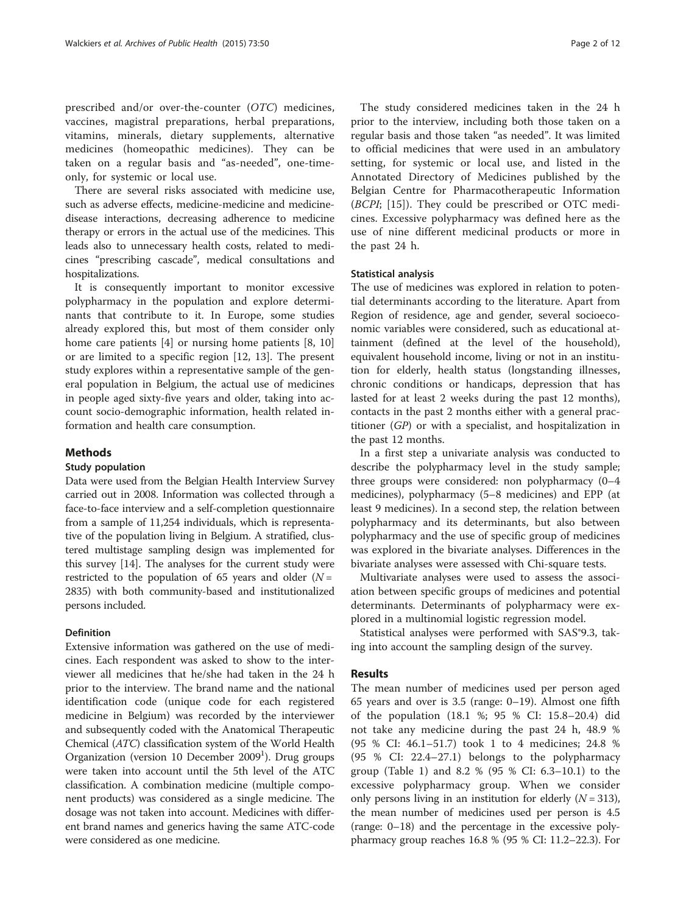prescribed and/or over-the-counter (OTC) medicines, vaccines, magistral preparations, herbal preparations, vitamins, minerals, dietary supplements, alternative medicines (homeopathic medicines). They can be taken on a regular basis and "as-needed", one-timeonly, for systemic or local use.

There are several risks associated with medicine use, such as adverse effects, medicine-medicine and medicinedisease interactions, decreasing adherence to medicine therapy or errors in the actual use of the medicines. This leads also to unnecessary health costs, related to medicines "prescribing cascade", medical consultations and hospitalizations.

It is consequently important to monitor excessive polypharmacy in the population and explore determinants that contribute to it. In Europe, some studies already explored this, but most of them consider only home care patients [[4\]](#page-11-0) or nursing home patients [[8, 10](#page-11-0)] or are limited to a specific region [[12](#page-11-0), [13](#page-11-0)]. The present study explores within a representative sample of the general population in Belgium, the actual use of medicines in people aged sixty-five years and older, taking into account socio-demographic information, health related information and health care consumption.

#### Methods

#### Study population

Data were used from the Belgian Health Interview Survey carried out in 2008. Information was collected through a face-to-face interview and a self-completion questionnaire from a sample of 11,254 individuals, which is representative of the population living in Belgium. A stratified, clustered multistage sampling design was implemented for this survey [\[14](#page-11-0)]. The analyses for the current study were restricted to the population of 65 years and older  $(N =$ 2835) with both community-based and institutionalized persons included.

## Definition

Extensive information was gathered on the use of medicines. Each respondent was asked to show to the interviewer all medicines that he/she had taken in the 24 h prior to the interview. The brand name and the national identification code (unique code for each registered medicine in Belgium) was recorded by the interviewer and subsequently coded with the Anatomical Therapeutic Chemical (ATC) classification system of the World Health Organization (version 10 December 2009<sup>1</sup>). Drug groups were taken into account until the 5th level of the ATC classification. A combination medicine (multiple component products) was considered as a single medicine. The dosage was not taken into account. Medicines with different brand names and generics having the same ATC-code were considered as one medicine.

The study considered medicines taken in the 24 h prior to the interview, including both those taken on a regular basis and those taken "as needed". It was limited to official medicines that were used in an ambulatory setting, for systemic or local use, and listed in the Annotated Directory of Medicines published by the Belgian Centre for Pharmacotherapeutic Information (BCPI; [\[15](#page-11-0)]). They could be prescribed or OTC medicines. Excessive polypharmacy was defined here as the use of nine different medicinal products or more in the past 24 h.

#### Statistical analysis

The use of medicines was explored in relation to potential determinants according to the literature. Apart from Region of residence, age and gender, several socioeconomic variables were considered, such as educational attainment (defined at the level of the household), equivalent household income, living or not in an institution for elderly, health status (longstanding illnesses, chronic conditions or handicaps, depression that has lasted for at least 2 weeks during the past 12 months), contacts in the past 2 months either with a general practitioner (GP) or with a specialist, and hospitalization in the past 12 months.

In a first step a univariate analysis was conducted to describe the polypharmacy level in the study sample; three groups were considered: non polypharmacy (0–4 medicines), polypharmacy (5–8 medicines) and EPP (at least 9 medicines). In a second step, the relation between polypharmacy and its determinants, but also between polypharmacy and the use of specific group of medicines was explored in the bivariate analyses. Differences in the bivariate analyses were assessed with Chi-square tests.

Multivariate analyses were used to assess the association between specific groups of medicines and potential determinants. Determinants of polypharmacy were explored in a multinomial logistic regression model.

Statistical analyses were performed with SAS®9.3, taking into account the sampling design of the survey.

#### Results

The mean number of medicines used per person aged 65 years and over is 3.5 (range: 0–19). Almost one fifth of the population (18.1 %; 95 % CI: 15.8–20.4) did not take any medicine during the past 24 h, 48.9 % (95 % CI: 46.1–51.7) took 1 to 4 medicines; 24.8 % (95 % CI: 22.4–27.1) belongs to the polypharmacy group (Table [1\)](#page-2-0) and 8.2 % (95 % CI: 6.3–10.1) to the excessive polypharmacy group. When we consider only persons living in an institution for elderly  $(N = 313)$ , the mean number of medicines used per person is 4.5 (range: 0–18) and the percentage in the excessive polypharmacy group reaches 16.8 % (95 % CI: 11.2–22.3). For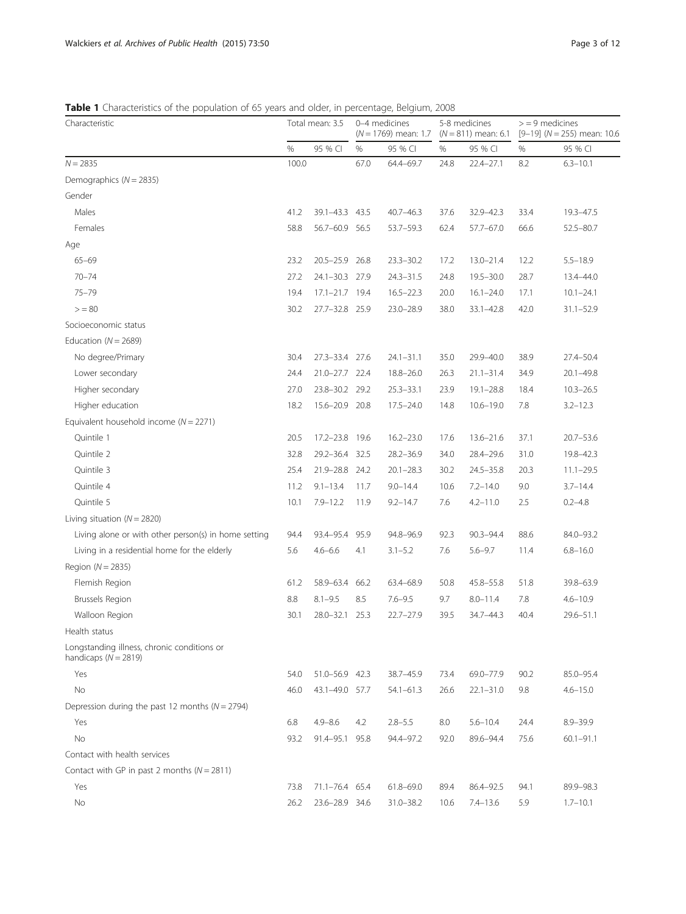## <span id="page-2-0"></span>Table 1 Characteristics of the population of 65 years and older, in percentage, Belgium, 2008

| Characteristic                                                        |       | Total mean: 3.5 |      | 0-4 medicines<br>$(N = 1769)$ mean: 1.7 |      | 5-8 medicines<br>$(N = 811)$ mean: 6.1 |      | $>$ = 9 medicines<br>$[9-19]$ (N = 255) mean: 10.6 |  |
|-----------------------------------------------------------------------|-------|-----------------|------|-----------------------------------------|------|----------------------------------------|------|----------------------------------------------------|--|
|                                                                       | $\%$  | 95 % CI         | %    | 95 % CI                                 | %    | 95 % CI                                | %    | 95 % CI                                            |  |
| $N = 2835$                                                            | 100.0 |                 | 67.0 | 64.4-69.7                               | 24.8 | 22.4-27.1                              | 8.2  | $6.3 - 10.1$                                       |  |
| Demographics ( $N = 2835$ )                                           |       |                 |      |                                         |      |                                        |      |                                                    |  |
| Gender                                                                |       |                 |      |                                         |      |                                        |      |                                                    |  |
| Males                                                                 | 41.2  | 39.1-43.3 43.5  |      | $40.7 - 46.3$                           | 37.6 | 32.9-42.3                              | 33.4 | 19.3-47.5                                          |  |
| Females                                                               | 58.8  | 56.7-60.9 56.5  |      | $53.7 - 59.3$                           | 62.4 | 57.7-67.0                              | 66.6 | 52.5-80.7                                          |  |
| Age                                                                   |       |                 |      |                                         |      |                                        |      |                                                    |  |
| $65 - 69$                                                             | 23.2  | 20.5-25.9 26.8  |      | $23.3 - 30.2$                           | 17.2 | $13.0 - 21.4$                          | 12.2 | $5.5 - 18.9$                                       |  |
| $70 - 74$                                                             | 27.2  | 24.1-30.3 27.9  |      | $24.3 - 31.5$                           | 24.8 | $19.5 - 30.0$                          | 28.7 | 13.4-44.0                                          |  |
| $75 - 79$                                                             | 19.4  | 17.1-21.7 19.4  |      | $16.5 - 22.3$                           | 20.0 | $16.1 - 24.0$                          | 17.1 | $10.1 - 24.1$                                      |  |
| > 80                                                                  | 30.2  | 27.7-32.8 25.9  |      | $23.0 - 28.9$                           | 38.0 | 33.1-42.8                              | 42.0 | $31.1 - 52.9$                                      |  |
| Socioeconomic status                                                  |       |                 |      |                                         |      |                                        |      |                                                    |  |
| Education ( $N = 2689$ )                                              |       |                 |      |                                         |      |                                        |      |                                                    |  |
| No degree/Primary                                                     | 30.4  | 27.3-33.4 27.6  |      | $24.1 - 31.1$                           | 35.0 | 29.9-40.0                              | 38.9 | 27.4-50.4                                          |  |
| Lower secondary                                                       | 24.4  | 21.0-27.7 22.4  |      | $18.8 - 26.0$                           | 26.3 | $21.1 - 31.4$                          | 34.9 | 20.1-49.8                                          |  |
| Higher secondary                                                      | 27.0  | 23.8-30.2 29.2  |      | $25.3 - 33.1$                           | 23.9 | $19.1 - 28.8$                          | 18.4 | $10.3 - 26.5$                                      |  |
| Higher education                                                      | 18.2  | 15.6-20.9 20.8  |      | $17.5 - 24.0$                           | 14.8 | $10.6 - 19.0$                          | 7.8  | $3.2 - 12.3$                                       |  |
| Equivalent household income ( $N = 2271$ )                            |       |                 |      |                                         |      |                                        |      |                                                    |  |
| Quintile 1                                                            | 20.5  | $17.2 - 23.8$   | 19.6 | $16.2 - 23.0$                           | 17.6 | $13.6 - 21.6$                          | 37.1 | $20.7 - 53.6$                                      |  |
| Quintile 2                                                            | 32.8  | 29.2-36.4 32.5  |      | $28.2 - 36.9$                           | 34.0 | 28.4-29.6                              | 31.0 | 19.8-42.3                                          |  |
| Quintile 3                                                            | 25.4  | 21.9-28.8 24.2  |      | $20.1 - 28.3$                           | 30.2 | 24.5-35.8                              | 20.3 | $11.1 - 29.5$                                      |  |
| Quintile 4                                                            | 11.2  | $9.1 - 13.4$    | 11.7 | $9.0 - 14.4$                            | 10.6 | $7.2 - 14.0$                           | 9.0  | $3.7 - 14.4$                                       |  |
| Quintile 5                                                            | 10.1  | $7.9 - 12.2$    | 11.9 | $9.2 - 14.7$                            | 7.6  | $4.2 - 11.0$                           | 2.5  | $0.2 - 4.8$                                        |  |
| Living situation ( $N = 2820$ )                                       |       |                 |      |                                         |      |                                        |      |                                                    |  |
| Living alone or with other person(s) in home setting                  | 94.4  | 93.4-95.4       | 95.9 | 94.8-96.9                               | 92.3 | 90.3-94.4                              | 88.6 | 84.0-93.2                                          |  |
| Living in a residential home for the elderly                          | 5.6   | $4.6 - 6.6$     | 4.1  | $3.1 - 5.2$                             | 7.6  | $5.6 - 9.7$                            | 11.4 | $6.8 - 16.0$                                       |  |
| Region ( $N = 2835$ )                                                 |       |                 |      |                                         |      |                                        |      |                                                    |  |
| Flemish Region                                                        | 61.2  | 58.9-63.4       | 66.2 | 63.4-68.9                               | 50.8 | 45.8-55.8                              | 51.8 | 39.8-63.9                                          |  |
| <b>Brussels Region</b>                                                | 8.8   | $8.1 - 9.5$     | 8.5  | $7.6 - 9.5$                             | 9.7  | $8.0 - 11.4$                           | 7.8  | $4.6 - 10.9$                                       |  |
| Walloon Region                                                        | 30.1  | $28.0 - 32.1$   | 25.3 | $22.7 - 27.9$                           | 39.5 | 34.7-44.3                              | 40.4 | 29.6-51.1                                          |  |
| Health status                                                         |       |                 |      |                                         |      |                                        |      |                                                    |  |
| Longstanding illness, chronic conditions or<br>handicaps $(N = 2819)$ |       |                 |      |                                         |      |                                        |      |                                                    |  |
| Yes                                                                   | 54.0  | 51.0-56.9 42.3  |      | 38.7-45.9                               | 73.4 | 69.0-77.9                              | 90.2 | 85.0-95.4                                          |  |
| No                                                                    | 46.0  | 43.1-49.0 57.7  |      | $54.1 - 61.3$                           | 26.6 | $22.1 - 31.0$                          | 9.8  | $4.6 - 15.0$                                       |  |
| Depression during the past 12 months ( $N = 2794$ )                   |       |                 |      |                                         |      |                                        |      |                                                    |  |
| Yes                                                                   | 6.8   | $4.9 - 8.6$     | 4.2  | $2.8 - 5.5$                             | 8.0  | $5.6 - 10.4$                           | 24.4 | $8.9 - 39.9$                                       |  |
| No                                                                    | 93.2  | 91.4-95.1       | 95.8 | 94.4-97.2                               | 92.0 | 89.6-94.4                              | 75.6 | $60.1 - 91.1$                                      |  |
| Contact with health services                                          |       |                 |      |                                         |      |                                        |      |                                                    |  |
| Contact with GP in past 2 months ( $N = 2811$ )                       |       |                 |      |                                         |      |                                        |      |                                                    |  |
| Yes                                                                   | 73.8  | 71.1-76.4 65.4  |      | $61.8 - 69.0$                           | 89.4 | 86.4-92.5                              | 94.1 | 89.9-98.3                                          |  |
| No                                                                    | 26.2  | 23.6-28.9 34.6  |      | $31.0 - 38.2$                           | 10.6 | $7.4 - 13.6$                           | 5.9  | $1.7 - 10.1$                                       |  |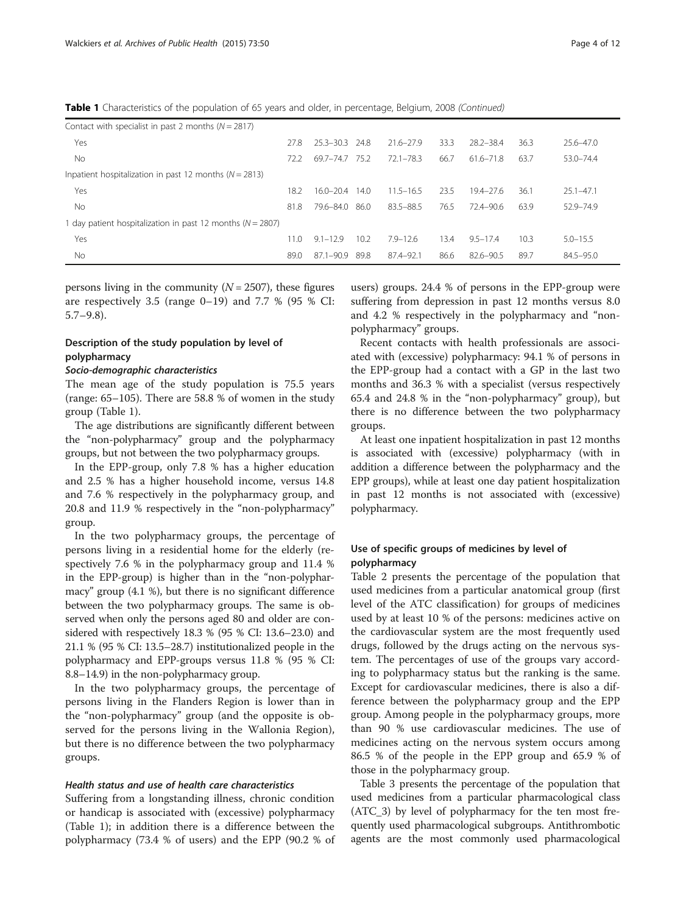Table 1 Characteristics of the population of 65 years and older, in percentage, Belgium, 2008 (Continued)

| Contact with specialist in past 2 months $(N = 2817)$          |      |               |      |               |      |               |      |               |  |
|----------------------------------------------------------------|------|---------------|------|---------------|------|---------------|------|---------------|--|
| Yes                                                            | 27.8 | $25.3 - 30.3$ | 24.8 | $21.6 - 27.9$ | 33.3 | 28.2-38.4     | 36.3 | $25.6 - 47.0$ |  |
| No                                                             | 72.2 | 69.7-74.7     | 75.2 | $72.1 - 78.3$ | 66.7 | $61.6 - 71.8$ | 63.7 | 53.0-74.4     |  |
| Inpatient hospitalization in past 12 months ( $N = 2813$ )     |      |               |      |               |      |               |      |               |  |
| Yes                                                            | 18.2 | $16.0 - 20.4$ | 14.0 | $11.5 - 16.5$ | 23.5 | $19.4 - 27.6$ | 36.1 | $25.1 - 47.1$ |  |
| No                                                             | 81.8 | 79.6-84.0     | 86.0 | 83.5-88.5     | 76.5 | $72.4 - 90.6$ | 63.9 | 52.9-74.9     |  |
| I day patient hospitalization in past 12 months ( $N = 2807$ ) |      |               |      |               |      |               |      |               |  |
| Yes                                                            | 11.0 | $9.1 - 12.9$  | 10.2 | $7.9 - 12.6$  | 13.4 | $9.5 - 17.4$  | 10.3 | $5.0 - 15.5$  |  |
| No                                                             | 89.0 | $87.1 - 90.9$ | 89.8 | 87.4-92.1     | 86.6 | 82.6-90.5     | 89.7 | $84.5 - 95.0$ |  |

persons living in the community  $(N = 2507)$ , these figures are respectively 3.5 (range  $0-19$ ) and 7.7 % (95 % CI: 5.7–9.8).

## Description of the study population by level of polypharmacy

#### Socio-demographic characteristics

The mean age of the study population is 75.5 years (range: 65–105). There are 58.8 % of women in the study group (Table [1\)](#page-2-0).

The age distributions are significantly different between the "non-polypharmacy" group and the polypharmacy groups, but not between the two polypharmacy groups.

In the EPP-group, only 7.8 % has a higher education and 2.5 % has a higher household income, versus 14.8 and 7.6 % respectively in the polypharmacy group, and 20.8 and 11.9 % respectively in the "non-polypharmacy" group.

In the two polypharmacy groups, the percentage of persons living in a residential home for the elderly (respectively 7.6 % in the polypharmacy group and 11.4 % in the EPP-group) is higher than in the "non-polypharmacy" group (4.1 %), but there is no significant difference between the two polypharmacy groups. The same is observed when only the persons aged 80 and older are considered with respectively 18.3 % (95 % CI: 13.6–23.0) and 21.1 % (95 % CI: 13.5–28.7) institutionalized people in the polypharmacy and EPP-groups versus 11.8 % (95 % CI: 8.8–14.9) in the non-polypharmacy group.

In the two polypharmacy groups, the percentage of persons living in the Flanders Region is lower than in the "non-polypharmacy" group (and the opposite is observed for the persons living in the Wallonia Region), but there is no difference between the two polypharmacy groups.

## Health status and use of health care characteristics

Suffering from a longstanding illness, chronic condition or handicap is associated with (excessive) polypharmacy (Table [1](#page-2-0)); in addition there is a difference between the polypharmacy (73.4 % of users) and the EPP (90.2 % of

users) groups. 24.4 % of persons in the EPP-group were suffering from depression in past 12 months versus 8.0 and 4.2 % respectively in the polypharmacy and "nonpolypharmacy" groups.

Recent contacts with health professionals are associated with (excessive) polypharmacy: 94.1 % of persons in the EPP-group had a contact with a GP in the last two months and 36.3 % with a specialist (versus respectively 65.4 and 24.8 % in the "non-polypharmacy" group), but there is no difference between the two polypharmacy groups.

At least one inpatient hospitalization in past 12 months is associated with (excessive) polypharmacy (with in addition a difference between the polypharmacy and the EPP groups), while at least one day patient hospitalization in past 12 months is not associated with (excessive) polypharmacy.

## Use of specific groups of medicines by level of polypharmacy

Table [2](#page-4-0) presents the percentage of the population that used medicines from a particular anatomical group (first level of the ATC classification) for groups of medicines used by at least 10 % of the persons: medicines active on the cardiovascular system are the most frequently used drugs, followed by the drugs acting on the nervous system. The percentages of use of the groups vary according to polypharmacy status but the ranking is the same. Except for cardiovascular medicines, there is also a difference between the polypharmacy group and the EPP group. Among people in the polypharmacy groups, more than 90 % use cardiovascular medicines. The use of medicines acting on the nervous system occurs among 86.5 % of the people in the EPP group and 65.9 % of those in the polypharmacy group.

Table [3](#page-4-0) presents the percentage of the population that used medicines from a particular pharmacological class (ATC\_3) by level of polypharmacy for the ten most frequently used pharmacological subgroups. Antithrombotic agents are the most commonly used pharmacological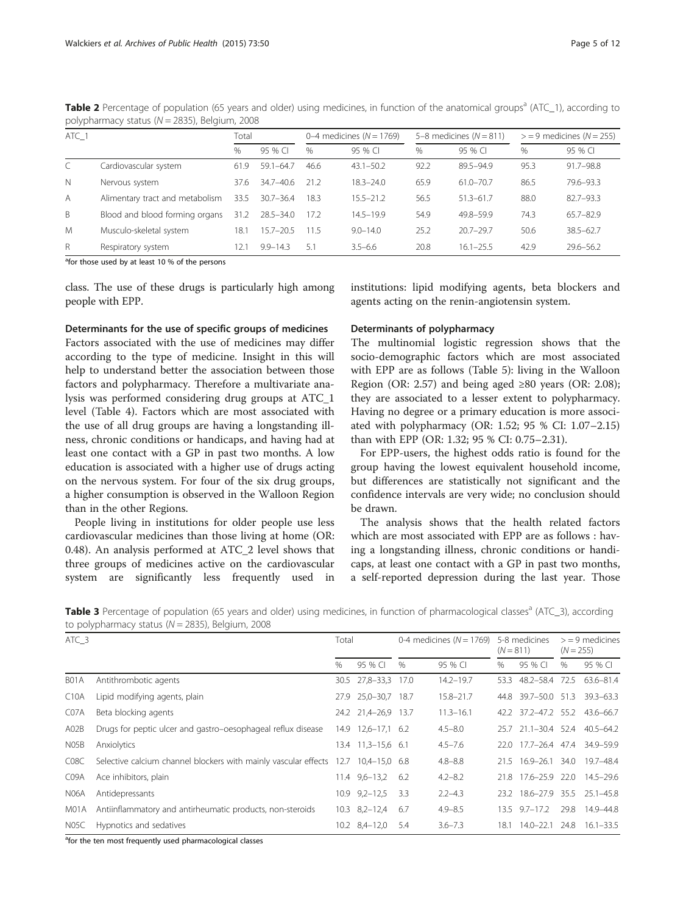| ATC 1          |                                 | Total |               |      | 0-4 medicines ( $N = 1769$ ) |      | 5-8 medicines ( $N = 811$ ) | $>$ = 9 medicines ( $N$ = 255) |               |  |
|----------------|---------------------------------|-------|---------------|------|------------------------------|------|-----------------------------|--------------------------------|---------------|--|
|                |                                 | $\%$  | 95 % CI       | $\%$ | 95 % CI                      | %    | 95 % CI                     | $\%$                           | 95 % CI       |  |
|                | Cardiovascular system           | 61.9  | $59.1 - 64.7$ | 46.6 | $43.1 - 50.2$                | 92.2 | 89.5-94.9                   | 95.3                           | $91.7 - 98.8$ |  |
| $\mathbb N$    | Nervous system                  | 37.6  | 34.7-40.6     | 21.2 | $18.3 - 24.0$                | 65.9 | $61.0 - 70.7$               | 86.5                           | 79.6-93.3     |  |
| $\overline{A}$ | Alimentary tract and metabolism | 33.5  | $30.7 - 36.4$ | 18.3 | $15.5 - 21.2$                | 56.5 | $51.3 - 61.7$               | 88.0                           | $82.7 - 93.3$ |  |
| B              | Blood and blood forming organs  | 31.2  | $28.5 - 34.0$ | 17.2 | 14.5-19.9                    | 54.9 | 49.8-59.9                   | 74.3                           | $65.7 - 82.9$ |  |
| M              | Musculo-skeletal system         | 18.1  | $15.7 - 20.5$ | 11.5 | $9.0 - 14.0$                 | 25.2 | $20.7 - 29.7$               | 50.6                           | $38.5 - 62.7$ |  |
| $\mathsf{R}$   | Respiratory system              | 12.   | $9.9 - 14.3$  | 5.1  | $3.5 - 6.6$                  | 20.8 | $16.1 - 25.5$               | 42.9                           | $29.6 - 56.2$ |  |

<span id="page-4-0"></span>Table 2 Percentage of population (65 years and older) using medicines, in function of the anatomical groups<sup>a</sup> (ATC\_1), according to polypharmacy status ( $N = 2835$ ), Belgium, 2008

<sup>a</sup>for those used by at least 10 % of the persons

class. The use of these drugs is particularly high among people with EPP.

#### Determinants for the use of specific groups of medicines

Factors associated with the use of medicines may differ according to the type of medicine. Insight in this will help to understand better the association between those factors and polypharmacy. Therefore a multivariate analysis was performed considering drug groups at ATC\_1 level (Table [4\)](#page-5-0). Factors which are most associated with the use of all drug groups are having a longstanding illness, chronic conditions or handicaps, and having had at least one contact with a GP in past two months. A low education is associated with a higher use of drugs acting on the nervous system. For four of the six drug groups, a higher consumption is observed in the Walloon Region than in the other Regions.

People living in institutions for older people use less cardiovascular medicines than those living at home (OR: 0.48). An analysis performed at ATC\_2 level shows that three groups of medicines active on the cardiovascular system are significantly less frequently used in

institutions: lipid modifying agents, beta blockers and agents acting on the renin-angiotensin system.

## Determinants of polypharmacy

The multinomial logistic regression shows that the socio-demographic factors which are most associated with EPP are as follows (Table [5\)](#page-6-0): living in the Walloon Region (OR: 2.57) and being aged ≥80 years (OR: 2.08); they are associated to a lesser extent to polypharmacy. Having no degree or a primary education is more associated with polypharmacy (OR: 1.52; 95 % CI: 1.07–2.15) than with EPP (OR: 1.32; 95 % CI: 0.75–2.31).

For EPP-users, the highest odds ratio is found for the group having the lowest equivalent household income, but differences are statistically not significant and the confidence intervals are very wide; no conclusion should be drawn.

The analysis shows that the health related factors which are most associated with EPP are as follows : having a longstanding illness, chronic conditions or handicaps, at least one contact with a GP in past two months, a self-reported depression during the last year. Those

Table 3 Percentage of population (65 years and older) using medicines, in function of pharmacological classes<sup>a</sup> (ATC\_3), according to polypharmacy status ( $N = 2835$ ), Belgium, 2008

| ATC 3             |                                                                 | Total |                     | 0-4 medicines ( $N = 1769$ ) |               | 5-8 medicines<br>$(N = 811)$ |                               | $>$ = 9 medicines<br>$(N = 255)$ |               |
|-------------------|-----------------------------------------------------------------|-------|---------------------|------------------------------|---------------|------------------------------|-------------------------------|----------------------------------|---------------|
|                   |                                                                 | $\%$  | 95 % CI             | $\%$                         | 95 % CI       | $\%$                         | 95 % CI                       | $\%$                             | 95 % CI       |
| B <sub>0</sub> 1A | Antithrombotic agents                                           |       | 30.5 27,8-33,3      | 17.0                         | 14.2-19.7     | 53.3                         | 48.2-58.4 72.5                |                                  | 63.6-81.4     |
| C10A              | Lipid modifying agents, plain                                   | 27.9  | 25,0-30,7 18.7      |                              | $15.8 - 21.7$ |                              | 44.8 39.7-50.0 51.3           |                                  | $39.3 - 63.3$ |
| C07A              | Beta blocking agents                                            |       | 24.2 21,4-26,9 13.7 |                              | $11.3 - 16.1$ |                              | 42.2 37.2-47.2 55.2 43.6-66.7 |                                  |               |
| A02B              | Drugs for peptic ulcer and gastro-oesophageal reflux disease    |       | 14.9 12,6-17,1 6.2  |                              | $4.5 - 8.0$   |                              | 25.7 21.1-30.4 52.4 40.5-64.2 |                                  |               |
| N05B              | Anxiolytics                                                     |       | 13.4 11,3-15,6 6.1  |                              | $4.5 - 7.6$   |                              | 22.0 17.7-26.4 47.4 34.9-59.9 |                                  |               |
| C <sub>08</sub> C | Selective calcium channel blockers with mainly vascular effects | 12.7  | $10,4-15,0$ 6.8     |                              | $4.8 - 8.8$   |                              | 21.5 16.9–26.1 34.0           |                                  | 19.7–48.4     |
| C <sub>09</sub> A | Ace inhibitors, plain                                           |       | $11.4$ 9,6-13,2     | 6.2                          | $4.2 - 8.2$   |                              | 21.8 17.6-25.9 22.0           |                                  | 14.5-29.6     |
| N06A              | Antidepressants                                                 |       | $10.9$ $9.2 - 12.5$ | 3.3                          | $2.2 - 4.3$   |                              | 23.2 18.6-27.9 35.5 25.1-45.8 |                                  |               |
| M01A              | Antiinflammatory and antirheumatic products, non-steroids       |       | $10.3$ $8,2-12,4$   | 6.7                          | $4.9 - 8.5$   |                              | $13.5$ 9.7-17.2               | 29.8                             | 14.9-44.8     |
| N05C              | Hypnotics and sedatives                                         |       | 10.2 8,4-12,0       | 5.4                          | $3.6 - 7.3$   | 18.1                         | $14.0 - 22.1$                 | 24.8                             | $16.1 - 33.5$ |

<sup>a</sup>for the ten most frequently used pharmacological classes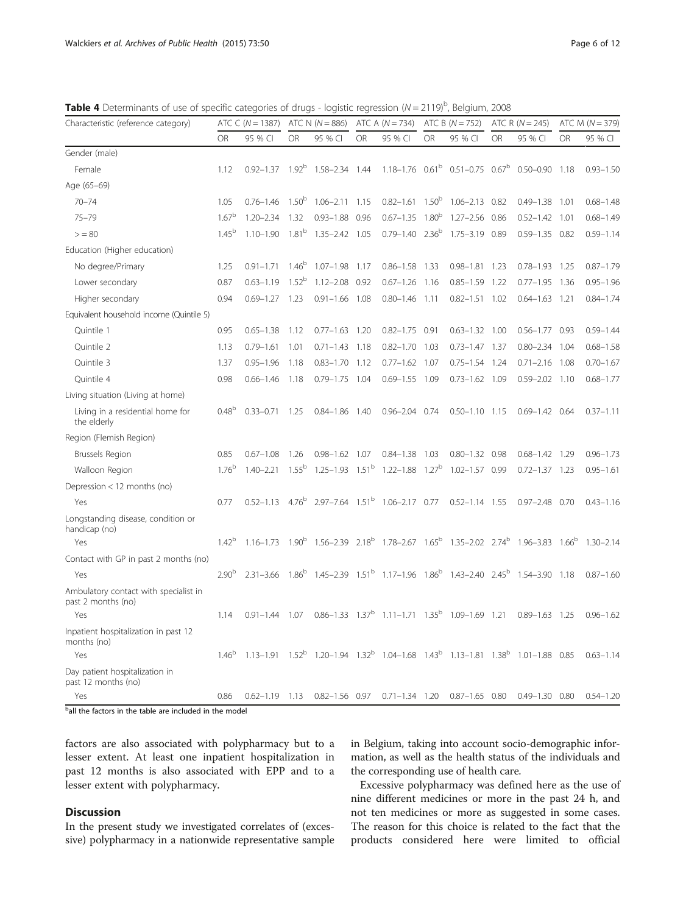<span id="page-5-0"></span>Table 4 Determinants of use of specific categories of drugs - logistic regression (N = 2119)<sup>b</sup>, Belgium, 2008

| Characteristic (reference category)                               | ATC C ( $N = 1387$ ) |               | ATC N $(N = 886)$ |                                                                                        | ATC A $(N = 734)$ |                                                                    | ATC B ( $N = 752$ ) |                                             | ATC R $(N = 245)$ |                                                                                                                                        | ATC M $(N = 379)$ |               |
|-------------------------------------------------------------------|----------------------|---------------|-------------------|----------------------------------------------------------------------------------------|-------------------|--------------------------------------------------------------------|---------------------|---------------------------------------------|-------------------|----------------------------------------------------------------------------------------------------------------------------------------|-------------------|---------------|
|                                                                   | <b>OR</b>            | 95 % CI       | OR                | 95 % CI                                                                                | <b>OR</b>         | 95 % CI                                                            | OR                  | 95 % CI                                     | <b>OR</b>         | 95 % CI                                                                                                                                | <b>OR</b>         | 95 % CI       |
| Gender (male)                                                     |                      |               |                   |                                                                                        |                   |                                                                    |                     |                                             |                   |                                                                                                                                        |                   |               |
| Female                                                            | 1.12                 | $0.92 - 1.37$ | $1.92^{b}$        | 1.58-2.34 1.44                                                                         |                   |                                                                    |                     | $1.18 - 1.76$ $0.61b$ $0.51 - 0.75$ $0.67b$ |                   | $0.50 - 0.90$                                                                                                                          | 1.18              | $0.93 - 1.50$ |
| Age (65-69)                                                       |                      |               |                   |                                                                                        |                   |                                                                    |                     |                                             |                   |                                                                                                                                        |                   |               |
| $70 - 74$                                                         | 1.05                 | $0.76 - 1.46$ | 1.50 <sup>b</sup> | $1.06 - 2.11$ $1.15$                                                                   |                   | $0.82 - 1.61$ $1.50^b$                                             |                     | $1.06 - 2.13$ 0.82                          |                   | $0.49 - 1.38$                                                                                                                          | 1.01              | $0.68 - 1.48$ |
| $75 - 79$                                                         | $1.67^{b}$           | $1.20 - 2.34$ | 1.32              | $0.93 - 1.88$                                                                          | 0.96              | $0.67 - 1.35$                                                      | 1.80 <sup>b</sup>   | 1.27-2.56 0.86                              |                   | $0.52 - 1.42$                                                                                                                          | 1.01              | $0.68 - 1.49$ |
| > 80                                                              | $1.45^{b}$           | $1.10 - 1.90$ | 1.81 <sup>b</sup> | 1.35-2.42 1.05                                                                         |                   | $0.79 - 1.40$                                                      | $2.36^{b}$          | $1.75 - 3.19$                               | 0.89              | $0.59 - 1.35$                                                                                                                          | 0.82              | $0.59 - 1.14$ |
| Education (Higher education)                                      |                      |               |                   |                                                                                        |                   |                                                                    |                     |                                             |                   |                                                                                                                                        |                   |               |
| No degree/Primary                                                 | 1.25                 | $0.91 - 1.71$ | $1.46^{b}$        | $1.07 - 1.98$                                                                          | 1.17              | $0.86 - 1.58$                                                      | 1.33                | $0.98 - 1.81$                               | 1.23              | $0.78 - 1.93$                                                                                                                          | 1.25              | $0.87 - 1.79$ |
| Lower secondary                                                   | 0.87                 | $0.63 - 1.19$ | $1.52^{b}$        | $1.12 - 2.08$                                                                          | 0.92              | $0.67 - 1.26$                                                      | 1.16                | $0.85 - 1.59$                               | 1.22              | $0.77 - 1.95$                                                                                                                          | 1.36              | $0.95 - 1.96$ |
| Higher secondary                                                  | 0.94                 | $0.69 - 1.27$ | 1.23              | $0.91 - 1.66$                                                                          | 1.08              | $0.80 - 1.46$                                                      | 1.11                | $0.82 - 1.51$ 1.02                          |                   | $0.64 - 1.63$                                                                                                                          | 1.21              | $0.84 - 1.74$ |
| Equivalent household income (Quintile 5)                          |                      |               |                   |                                                                                        |                   |                                                                    |                     |                                             |                   |                                                                                                                                        |                   |               |
| Quintile 1                                                        | 0.95                 | $0.65 - 1.38$ | 1.12              | $0.77 - 1.63$                                                                          | 1.20              | $0.82 - 1.75$                                                      | 0.91                | $0.63 - 1.32$                               | 1.00              | $0.56 - 1.77$                                                                                                                          | 0.93              | $0.59 - 1.44$ |
| Quintile 2                                                        | 1.13                 | $0.79 - 1.61$ | 1.01              | $0.71 - 1.43$                                                                          | 1.18              | $0.82 - 1.70$                                                      | 1.03                | $0.73 - 1.47$                               | 1.37              | $0.80 - 2.34$                                                                                                                          | 1.04              | $0.68 - 1.58$ |
| Quintile 3                                                        | 1.37                 | $0.95 - 1.96$ | 1.18              | $0.83 - 1.70$                                                                          | 1.12              | $0.77 - 1.62$                                                      | 1.07                | $0.75 - 1.54$                               | 1.24              | $0.71 - 2.16$                                                                                                                          | 1.08              | $0.70 - 1.67$ |
| Quintile 4                                                        | 0.98                 | $0.66 - 1.46$ | 1.18              | $0.79 - 1.75$                                                                          | 1.04              | $0.69 - 1.55$                                                      | 1.09                | $0.73 - 1.62$ 1.09                          |                   | $0.59 - 2.02$ 1.10                                                                                                                     |                   | $0.68 - 1.77$ |
| Living situation (Living at home)                                 |                      |               |                   |                                                                                        |                   |                                                                    |                     |                                             |                   |                                                                                                                                        |                   |               |
| Living in a residential home for<br>the elderly                   | 0.48 <sup>b</sup>    | $0.33 - 0.71$ | 1.25              | $0.84 - 1.86$                                                                          | 1.40              | $0.96 - 2.04$ 0.74                                                 |                     | $0.50 - 1.10$ 1.15                          |                   | $0.69 - 1.42$ 0.64                                                                                                                     |                   | $0.37 - 1.11$ |
| Region (Flemish Region)                                           |                      |               |                   |                                                                                        |                   |                                                                    |                     |                                             |                   |                                                                                                                                        |                   |               |
| Brussels Region                                                   | 0.85                 | $0.67 - 1.08$ | 1.26              | $0.98 - 1.62$ 1.07                                                                     |                   | $0.84 - 1.38$                                                      | 1.03                | $0.80 - 1.32$ 0.98                          |                   | $0.68 - 1.42$                                                                                                                          | 1.29              | $0.96 - 1.73$ |
| Walloon Region                                                    | $1.76^{b}$           | $1.40 - 2.21$ | $1.55^{b}$        | $1.25 - 1.93$ $1.51^{\mathrm{b}}$                                                      |                   | $1.22 - 1.88$ $1.27b$                                              |                     | $1.02 - 1.57$ 0.99                          |                   | $0.72 - 1.37$ 1.23                                                                                                                     |                   | $0.95 - 1.61$ |
| Depression < 12 months (no)                                       |                      |               |                   |                                                                                        |                   |                                                                    |                     |                                             |                   |                                                                                                                                        |                   |               |
| Yes                                                               | 0.77                 | $0.52 - 1.13$ |                   | 4.76 <sup>b</sup> 2.97-7.64 1.51 <sup>b</sup> 1.06-2.17 0.77                           |                   |                                                                    |                     | $0.52 - 1.14$ 1.55                          |                   | $0.97 - 2.48$ 0.70                                                                                                                     |                   | $0.43 - 1.16$ |
| Longstanding disease, condition or<br>handicap (no)               |                      |               |                   |                                                                                        |                   |                                                                    |                     |                                             |                   |                                                                                                                                        |                   |               |
| Yes                                                               | $1.42^{b}$           |               |                   |                                                                                        |                   |                                                                    |                     |                                             |                   | $1.16-1.73$ $1.90^{\circ}$ $1.56-2.39$ $2.18^{\circ}$ $1.78-2.67$ $1.65^{\circ}$ $1.35-2.02$ $2.74^{\circ}$ $1.96-3.83$ $1.66^{\circ}$ |                   | $1.30 - 2.14$ |
| Contact with GP in past 2 months (no)                             |                      |               |                   |                                                                                        |                   |                                                                    |                     |                                             |                   |                                                                                                                                        |                   |               |
| Yes                                                               | $2.90^{b}$           | $2.31 - 3.66$ | 1.86 <sup>b</sup> | 1.45-2.39  1.51 <sup>b</sup> 1.17-1.96  1.86 <sup>b</sup> 1.43-2.40  2.45 <sup>b</sup> |                   |                                                                    |                     |                                             |                   | 1.54-3.90                                                                                                                              | 1.18              | $0.87 - 1.60$ |
| Ambulatory contact with specialist in<br>past 2 months (no)       |                      |               |                   |                                                                                        |                   |                                                                    |                     |                                             |                   |                                                                                                                                        |                   |               |
| Yes                                                               | 1.14                 | $0.91 - 1.44$ | 1.07              |                                                                                        |                   | $0.86 - 1.33$ $1.37^b$ $1.11 - 1.71$ $1.35^b$ $1.09 - 1.69$ $1.21$ |                     |                                             |                   | $0.89 - 1.63$                                                                                                                          | 1.25              | $0.96 - 1.62$ |
| Inpatient hospitalization in past 12<br>months (no)               |                      |               |                   |                                                                                        |                   |                                                                    |                     |                                             |                   |                                                                                                                                        |                   |               |
| Yes                                                               | $1.46^{b}$           | $1.13 - 1.91$ | $1.52^{\rm b}$    | $1.20 - 1.94$ $1.32^{\circ}$ $1.04 - 1.68$ $1.43^{\circ}$ $1.13 - 1.81$ $1.38^{\circ}$ |                   |                                                                    |                     |                                             |                   | $1.01 - 1.88$                                                                                                                          | 0.85              | $0.63 - 1.14$ |
| Day patient hospitalization in<br>past 12 months (no)             |                      |               |                   |                                                                                        |                   |                                                                    |                     |                                             |                   |                                                                                                                                        |                   |               |
| Yes<br>$b$ all the factors in the table are included in the model | 0.86                 | $0.62 - 1.19$ | 1.13              | $0.82 - 1.56$ 0.97                                                                     |                   | $0.71 - 1.34$ 1.20                                                 |                     | $0.87 - 1.65$                               | 0.80              | $0.49 - 1.30$                                                                                                                          | 0.80              | $0.54 - 1.20$ |

all the factors in the table are included in the model

factors are also associated with polypharmacy but to a lesser extent. At least one inpatient hospitalization in past 12 months is also associated with EPP and to a lesser extent with polypharmacy.

## **Discussion**

In the present study we investigated correlates of (excessive) polypharmacy in a nationwide representative sample in Belgium, taking into account socio-demographic information, as well as the health status of the individuals and the corresponding use of health care.

Excessive polypharmacy was defined here as the use of nine different medicines or more in the past 24 h, and not ten medicines or more as suggested in some cases. The reason for this choice is related to the fact that the products considered here were limited to official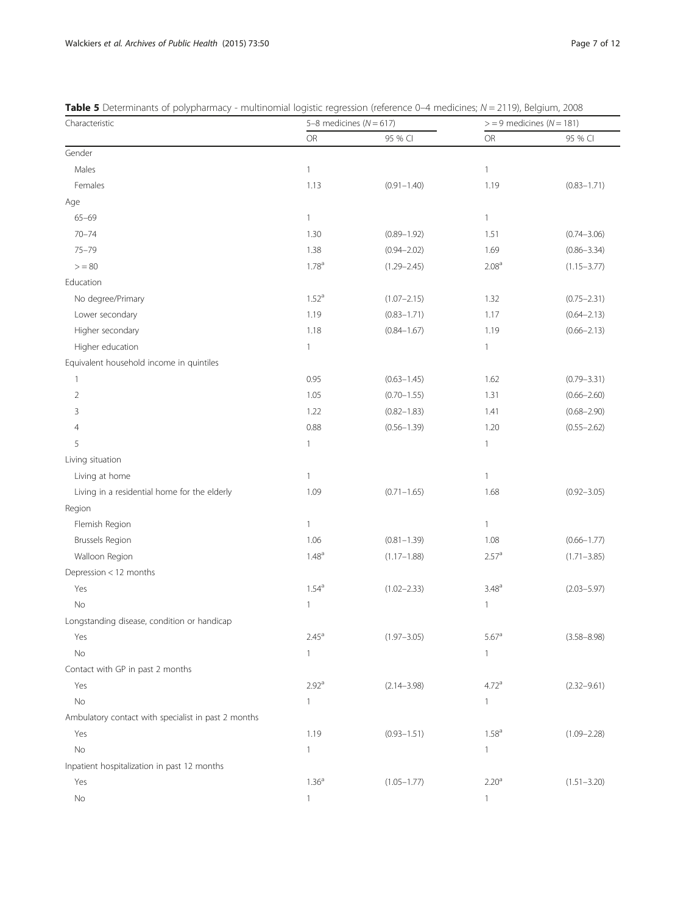| Characteristic                                      | 5-8 medicines ( $N = 617$ ) |                 | $>$ = 9 medicines ( $N$ = 181) |                 |  |
|-----------------------------------------------------|-----------------------------|-----------------|--------------------------------|-----------------|--|
|                                                     | OR                          | 95 % CI         | <b>OR</b>                      | 95 % CI         |  |
| Gender                                              |                             |                 |                                |                 |  |
| Males                                               | 1                           |                 | $\mathbf{1}$                   |                 |  |
| Females                                             | 1.13                        | $(0.91 - 1.40)$ | 1.19                           | $(0.83 - 1.71)$ |  |
| Age                                                 |                             |                 |                                |                 |  |
| $65 - 69$                                           | $\mathbf{1}$                |                 | $\mathbbm{1}$                  |                 |  |
| $70 - 74$                                           | 1.30                        | $(0.89 - 1.92)$ | 1.51                           | $(0.74 - 3.06)$ |  |
| $75 - 79$                                           | 1.38                        | $(0.94 - 2.02)$ | 1.69                           | $(0.86 - 3.34)$ |  |
| > 80                                                | 1.78 <sup>a</sup>           | $(1.29 - 2.45)$ | 2.08 <sup>a</sup>              | $(1.15 - 3.77)$ |  |
| Education                                           |                             |                 |                                |                 |  |
| No degree/Primary                                   | 1.52 <sup>a</sup>           | $(1.07 - 2.15)$ | 1.32                           | $(0.75 - 2.31)$ |  |
| Lower secondary                                     | 1.19                        | $(0.83 - 1.71)$ | 1.17                           | $(0.64 - 2.13)$ |  |
| Higher secondary                                    | 1.18                        | $(0.84 - 1.67)$ | 1.19                           | $(0.66 - 2.13)$ |  |
| Higher education                                    | 1                           |                 | $\mathbf{1}$                   |                 |  |
| Equivalent household income in quintiles            |                             |                 |                                |                 |  |
| 1                                                   | 0.95                        | $(0.63 - 1.45)$ | 1.62                           | $(0.79 - 3.31)$ |  |
| $\overline{2}$                                      | 1.05                        | $(0.70 - 1.55)$ | 1.31                           | $(0.66 - 2.60)$ |  |
| 3                                                   | 1.22                        | $(0.82 - 1.83)$ | 1.41                           | $(0.68 - 2.90)$ |  |
| 4                                                   | 0.88                        | $(0.56 - 1.39)$ | 1.20                           | $(0.55 - 2.62)$ |  |
| 5                                                   | 1                           |                 | $\mathbf{1}$                   |                 |  |
| Living situation                                    |                             |                 |                                |                 |  |
| Living at home                                      | 1                           |                 | $\mathbf{1}$                   |                 |  |
| Living in a residential home for the elderly        | 1.09                        | $(0.71 - 1.65)$ | 1.68                           | $(0.92 - 3.05)$ |  |
| Region                                              |                             |                 |                                |                 |  |
| Flemish Region                                      | $\mathbf{1}$                |                 | $\mathbf{1}$                   |                 |  |
| <b>Brussels Region</b>                              | 1.06                        | $(0.81 - 1.39)$ | 1.08                           | $(0.66 - 1.77)$ |  |
| Walloon Region                                      | $1.48^{a}$                  | $(1.17 - 1.88)$ | 2.57 <sup>a</sup>              | $(1.71 - 3.85)$ |  |
| Depression < 12 months                              |                             |                 |                                |                 |  |
| Yes                                                 | $1.54^{a}$                  | $(1.02 - 2.33)$ | $3.48^{a}$                     | $(2.03 - 5.97)$ |  |
| No                                                  | $\mathbf{1}$                |                 | $\mathbf{1}$                   |                 |  |
| Longstanding disease, condition or handicap         |                             |                 |                                |                 |  |
| Yes                                                 | $2.45^{\circ}$              | $(1.97 - 3.05)$ | $5.67^{\circ}$                 | $(3.58 - 8.98)$ |  |
| No                                                  | 1                           |                 | $\mathbf{1}$                   |                 |  |
| Contact with GP in past 2 months                    |                             |                 |                                |                 |  |
| Yes                                                 | 2.92 <sup>a</sup>           | $(2.14 - 3.98)$ | 4.72 <sup>a</sup>              | $(2.32 - 9.61)$ |  |
| No                                                  | 1                           |                 | $\mathbf{1}$                   |                 |  |
| Ambulatory contact with specialist in past 2 months |                             |                 |                                |                 |  |
| Yes                                                 | 1.19                        | $(0.93 - 1.51)$ | $1.58^{a}$                     | $(1.09 - 2.28)$ |  |
| No                                                  | 1                           |                 | $\mathbf{1}$                   |                 |  |
| Inpatient hospitalization in past 12 months         |                             |                 |                                |                 |  |
| Yes                                                 | 1.36 <sup>a</sup>           | $(1.05 - 1.77)$ | 2.20 <sup>a</sup>              | $(1.51 - 3.20)$ |  |
| No                                                  | 1                           |                 | $\mathbf{1}$                   |                 |  |

<span id="page-6-0"></span>Table 5 Determinants of polypharmacy - multinomial logistic regression (reference 0-4 medicines;  $N = 2119$ ), Belgium, 2008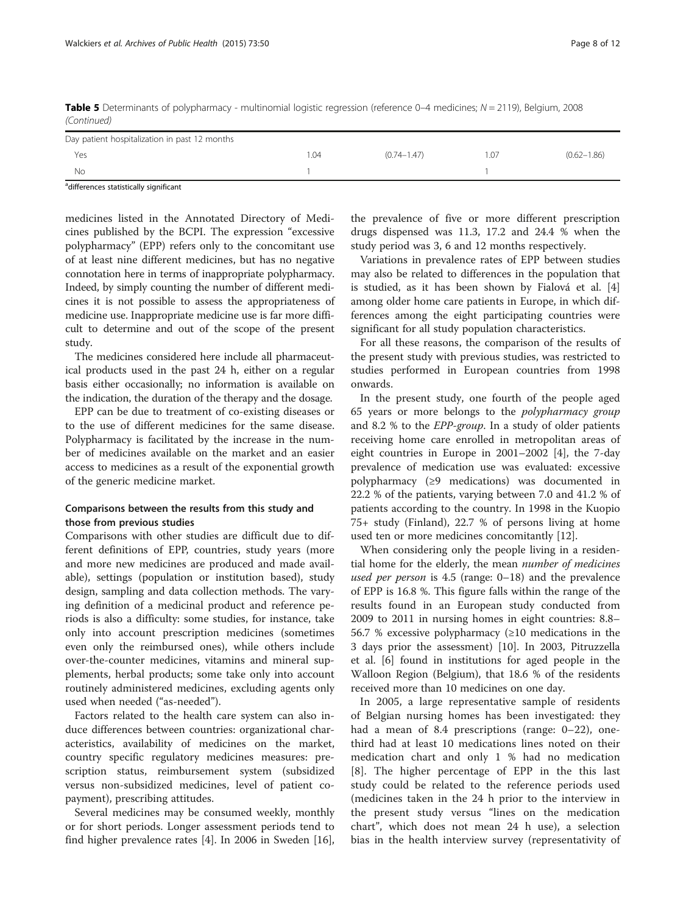| (Continued)                                   |      |                 |      |                 |
|-----------------------------------------------|------|-----------------|------|-----------------|
| Day patient hospitalization in past 12 months |      |                 |      |                 |
| Yes                                           | 1.04 | $(0.74 - 1.47)$ | 1.07 | $(0.62 - 1.86)$ |
| No                                            |      |                 |      |                 |

Table 5 Determinants of polypharmacy - multinomial logistic regression (reference 0–4 medicines;  $N = 2119$ ), Belgium, 2008 (Continued)

<sup>a</sup>differences statistically significant

medicines listed in the Annotated Directory of Medicines published by the BCPI. The expression "excessive polypharmacy" (EPP) refers only to the concomitant use of at least nine different medicines, but has no negative connotation here in terms of inappropriate polypharmacy. Indeed, by simply counting the number of different medicines it is not possible to assess the appropriateness of medicine use. Inappropriate medicine use is far more difficult to determine and out of the scope of the present study.

The medicines considered here include all pharmaceutical products used in the past 24 h, either on a regular basis either occasionally; no information is available on the indication, the duration of the therapy and the dosage.

EPP can be due to treatment of co-existing diseases or to the use of different medicines for the same disease. Polypharmacy is facilitated by the increase in the number of medicines available on the market and an easier access to medicines as a result of the exponential growth of the generic medicine market.

## Comparisons between the results from this study and those from previous studies

Comparisons with other studies are difficult due to different definitions of EPP, countries, study years (more and more new medicines are produced and made available), settings (population or institution based), study design, sampling and data collection methods. The varying definition of a medicinal product and reference periods is also a difficulty: some studies, for instance, take only into account prescription medicines (sometimes even only the reimbursed ones), while others include over-the-counter medicines, vitamins and mineral supplements, herbal products; some take only into account routinely administered medicines, excluding agents only used when needed ("as-needed").

Factors related to the health care system can also induce differences between countries: organizational characteristics, availability of medicines on the market, country specific regulatory medicines measures: prescription status, reimbursement system (subsidized versus non-subsidized medicines, level of patient copayment), prescribing attitudes.

Several medicines may be consumed weekly, monthly or for short periods. Longer assessment periods tend to find higher prevalence rates [[4\]](#page-11-0). In 2006 in Sweden [\[16](#page-11-0)], the prevalence of five or more different prescription drugs dispensed was 11.3, 17.2 and 24.4 % when the study period was 3, 6 and 12 months respectively.

Variations in prevalence rates of EPP between studies may also be related to differences in the population that is studied, as it has been shown by Fialová et al. [\[4](#page-11-0)] among older home care patients in Europe, in which differences among the eight participating countries were significant for all study population characteristics.

For all these reasons, the comparison of the results of the present study with previous studies, was restricted to studies performed in European countries from 1998 onwards.

In the present study, one fourth of the people aged 65 years or more belongs to the polypharmacy group and 8.2 % to the EPP-group. In a study of older patients receiving home care enrolled in metropolitan areas of eight countries in Europe in 2001–2002 [[4\]](#page-11-0), the 7-day prevalence of medication use was evaluated: excessive polypharmacy (≥9 medications) was documented in 22.2 % of the patients, varying between 7.0 and 41.2 % of patients according to the country. In 1998 in the Kuopio 75+ study (Finland), 22.7 % of persons living at home used ten or more medicines concomitantly [[12](#page-11-0)].

When considering only the people living in a residential home for the elderly, the mean number of medicines used per person is  $4.5$  (range:  $0-18$ ) and the prevalence of EPP is 16.8 %. This figure falls within the range of the results found in an European study conducted from 2009 to 2011 in nursing homes in eight countries: 8.8– 56.7 % excessive polypharmacy  $(\geq 10$  medications in the 3 days prior the assessment) [[10\]](#page-11-0). In 2003, Pitruzzella et al. [[6](#page-11-0)] found in institutions for aged people in the Walloon Region (Belgium), that 18.6 % of the residents received more than 10 medicines on one day.

In 2005, a large representative sample of residents of Belgian nursing homes has been investigated: they had a mean of 8.4 prescriptions (range: 0–22), onethird had at least 10 medications lines noted on their medication chart and only 1 % had no medication [[8](#page-11-0)]. The higher percentage of EPP in the this last study could be related to the reference periods used (medicines taken in the 24 h prior to the interview in the present study versus "lines on the medication chart", which does not mean 24 h use), a selection bias in the health interview survey (representativity of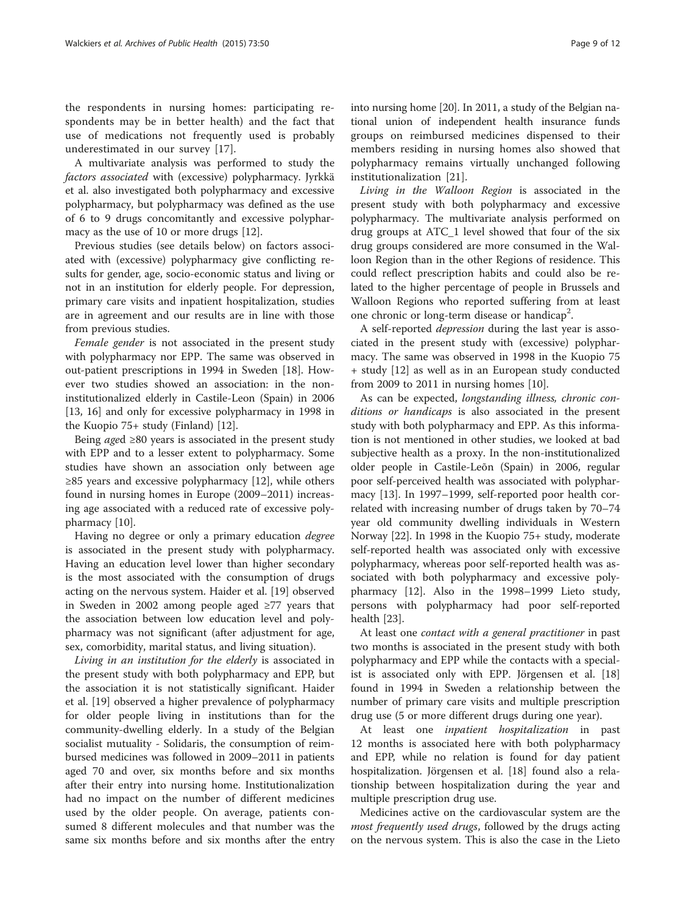the respondents in nursing homes: participating respondents may be in better health) and the fact that use of medications not frequently used is probably underestimated in our survey [[17\]](#page-11-0).

A multivariate analysis was performed to study the factors associated with (excessive) polypharmacy. Jyrkkä et al. also investigated both polypharmacy and excessive polypharmacy, but polypharmacy was defined as the use of 6 to 9 drugs concomitantly and excessive polypharmacy as the use of 10 or more drugs [\[12\]](#page-11-0).

Previous studies (see details below) on factors associated with (excessive) polypharmacy give conflicting results for gender, age, socio-economic status and living or not in an institution for elderly people. For depression, primary care visits and inpatient hospitalization, studies are in agreement and our results are in line with those from previous studies.

Female gender is not associated in the present study with polypharmacy nor EPP. The same was observed in out-patient prescriptions in 1994 in Sweden [\[18](#page-11-0)]. However two studies showed an association: in the noninstitutionalized elderly in Castile-Leon (Spain) in 2006 [[13, 16](#page-11-0)] and only for excessive polypharmacy in 1998 in the Kuopio 75+ study (Finland) [[12\]](#page-11-0).

Being *aged*  $\geq 80$  years is associated in the present study with EPP and to a lesser extent to polypharmacy. Some studies have shown an association only between age  $\geq$ 85 years and excessive polypharmacy [[12](#page-11-0)], while others found in nursing homes in Europe (2009–2011) increasing age associated with a reduced rate of excessive polypharmacy [[10\]](#page-11-0).

Having no degree or only a primary education degree is associated in the present study with polypharmacy. Having an education level lower than higher secondary is the most associated with the consumption of drugs acting on the nervous system. Haider et al. [\[19\]](#page-11-0) observed in Sweden in 2002 among people aged ≥77 years that the association between low education level and polypharmacy was not significant (after adjustment for age, sex, comorbidity, marital status, and living situation).

Living in an institution for the elderly is associated in the present study with both polypharmacy and EPP, but the association it is not statistically significant. Haider et al. [[19\]](#page-11-0) observed a higher prevalence of polypharmacy for older people living in institutions than for the community-dwelling elderly. In a study of the Belgian socialist mutuality - Solidaris, the consumption of reimbursed medicines was followed in 2009–2011 in patients aged 70 and over, six months before and six months after their entry into nursing home. Institutionalization had no impact on the number of different medicines used by the older people. On average, patients consumed 8 different molecules and that number was the same six months before and six months after the entry

into nursing home [\[20](#page-11-0)]. In 2011, a study of the Belgian national union of independent health insurance funds groups on reimbursed medicines dispensed to their members residing in nursing homes also showed that polypharmacy remains virtually unchanged following institutionalization [[21](#page-11-0)].

Living in the Walloon Region is associated in the present study with both polypharmacy and excessive polypharmacy. The multivariate analysis performed on drug groups at ATC\_1 level showed that four of the six drug groups considered are more consumed in the Walloon Region than in the other Regions of residence. This could reflect prescription habits and could also be related to the higher percentage of people in Brussels and Walloon Regions who reported suffering from at least one chronic or long-term disease or handicap<sup>2</sup>.

A self-reported depression during the last year is associated in the present study with (excessive) polypharmacy. The same was observed in 1998 in the Kuopio 75 + study [[12](#page-11-0)] as well as in an European study conducted from 2009 to 2011 in nursing homes [[10](#page-11-0)].

As can be expected, longstanding illness, chronic conditions or handicaps is also associated in the present study with both polypharmacy and EPP. As this information is not mentioned in other studies, we looked at bad subjective health as a proxy. In the non-institutionalized older people in Castile-Leõn (Spain) in 2006, regular poor self-perceived health was associated with polypharmacy [[13\]](#page-11-0). In 1997–1999, self-reported poor health correlated with increasing number of drugs taken by 70–74 year old community dwelling individuals in Western Norway [[22\]](#page-11-0). In 1998 in the Kuopio 75+ study, moderate self-reported health was associated only with excessive polypharmacy, whereas poor self-reported health was associated with both polypharmacy and excessive polypharmacy [[12](#page-11-0)]. Also in the 1998–1999 Lieto study, persons with polypharmacy had poor self-reported health [[23\]](#page-11-0).

At least one *contact with a general practitioner* in past two months is associated in the present study with both polypharmacy and EPP while the contacts with a specialist is associated only with EPP. Jörgensen et al. [[18](#page-11-0)] found in 1994 in Sweden a relationship between the number of primary care visits and multiple prescription drug use (5 or more different drugs during one year).

At least one inpatient hospitalization in past 12 months is associated here with both polypharmacy and EPP, while no relation is found for day patient hospitalization. Jörgensen et al. [[18](#page-11-0)] found also a relationship between hospitalization during the year and multiple prescription drug use.

Medicines active on the cardiovascular system are the most frequently used drugs, followed by the drugs acting on the nervous system. This is also the case in the Lieto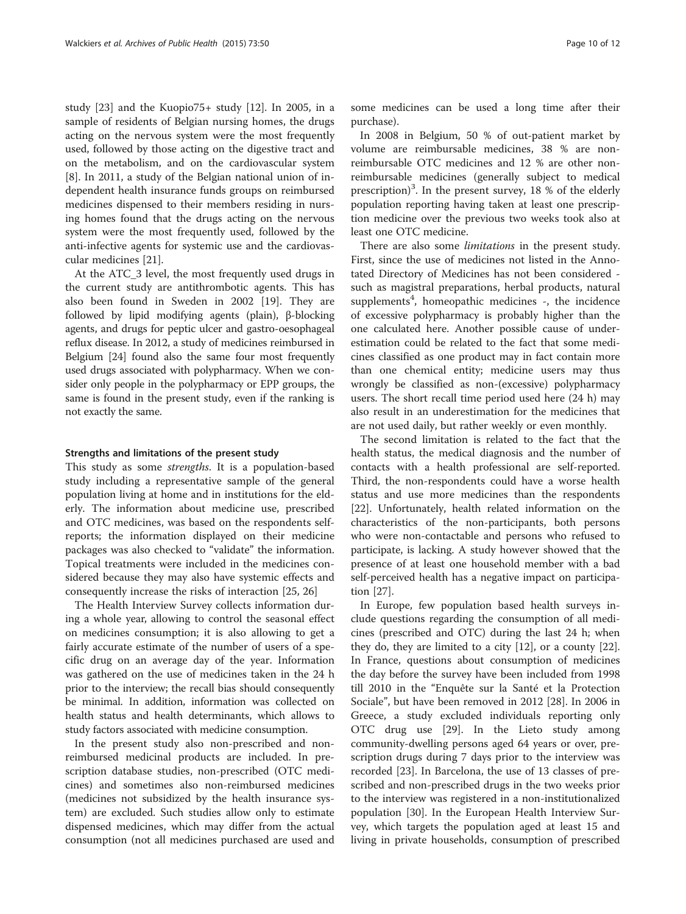study [[23\]](#page-11-0) and the Kuopio75+ study [[12\]](#page-11-0). In 2005, in a sample of residents of Belgian nursing homes, the drugs acting on the nervous system were the most frequently used, followed by those acting on the digestive tract and on the metabolism, and on the cardiovascular system [[8\]](#page-11-0). In 2011, a study of the Belgian national union of independent health insurance funds groups on reimbursed medicines dispensed to their members residing in nursing homes found that the drugs acting on the nervous system were the most frequently used, followed by the anti-infective agents for systemic use and the cardiovascular medicines [[21\]](#page-11-0).

At the ATC 3 level, the most frequently used drugs in the current study are antithrombotic agents. This has also been found in Sweden in 2002 [[19\]](#page-11-0). They are followed by lipid modifying agents (plain), β-blocking agents, and drugs for peptic ulcer and gastro-oesophageal reflux disease. In 2012, a study of medicines reimbursed in Belgium [\[24\]](#page-11-0) found also the same four most frequently used drugs associated with polypharmacy. When we consider only people in the polypharmacy or EPP groups, the same is found in the present study, even if the ranking is not exactly the same.

#### Strengths and limitations of the present study

This study as some strengths. It is a population-based study including a representative sample of the general population living at home and in institutions for the elderly. The information about medicine use, prescribed and OTC medicines, was based on the respondents selfreports; the information displayed on their medicine packages was also checked to "validate" the information. Topical treatments were included in the medicines considered because they may also have systemic effects and consequently increase the risks of interaction [\[25, 26\]](#page-11-0)

The Health Interview Survey collects information during a whole year, allowing to control the seasonal effect on medicines consumption; it is also allowing to get a fairly accurate estimate of the number of users of a specific drug on an average day of the year. Information was gathered on the use of medicines taken in the 24 h prior to the interview; the recall bias should consequently be minimal. In addition, information was collected on health status and health determinants, which allows to study factors associated with medicine consumption.

In the present study also non-prescribed and nonreimbursed medicinal products are included. In prescription database studies, non-prescribed (OTC medicines) and sometimes also non-reimbursed medicines (medicines not subsidized by the health insurance system) are excluded. Such studies allow only to estimate dispensed medicines, which may differ from the actual consumption (not all medicines purchased are used and some medicines can be used a long time after their purchase).

In 2008 in Belgium, 50 % of out-patient market by volume are reimbursable medicines, 38 % are nonreimbursable OTC medicines and 12 % are other nonreimbursable medicines (generally subject to medical prescription)<sup>3</sup>. In the present survey, 18 % of the elderly population reporting having taken at least one prescription medicine over the previous two weeks took also at least one OTC medicine.

There are also some *limitations* in the present study. First, since the use of medicines not listed in the Annotated Directory of Medicines has not been considered such as magistral preparations, herbal products, natural supplements<sup>4</sup>, homeopathic medicines -, the incidence of excessive polypharmacy is probably higher than the one calculated here. Another possible cause of underestimation could be related to the fact that some medicines classified as one product may in fact contain more than one chemical entity; medicine users may thus wrongly be classified as non-(excessive) polypharmacy users. The short recall time period used here (24 h) may also result in an underestimation for the medicines that are not used daily, but rather weekly or even monthly.

The second limitation is related to the fact that the health status, the medical diagnosis and the number of contacts with a health professional are self-reported. Third, the non-respondents could have a worse health status and use more medicines than the respondents [[22\]](#page-11-0). Unfortunately, health related information on the characteristics of the non-participants, both persons who were non-contactable and persons who refused to participate, is lacking. A study however showed that the presence of at least one household member with a bad self-perceived health has a negative impact on participation [\[27\]](#page-11-0).

In Europe, few population based health surveys include questions regarding the consumption of all medicines (prescribed and OTC) during the last 24 h; when they do, they are limited to a city [\[12](#page-11-0)], or a county [\[22](#page-11-0)]. In France, questions about consumption of medicines the day before the survey have been included from 1998 till 2010 in the "Enquête sur la Santé et la Protection Sociale", but have been removed in 2012 [[28\]](#page-11-0). In 2006 in Greece, a study excluded individuals reporting only OTC drug use [\[29](#page-11-0)]. In the Lieto study among community-dwelling persons aged 64 years or over, prescription drugs during 7 days prior to the interview was recorded [\[23](#page-11-0)]. In Barcelona, the use of 13 classes of prescribed and non-prescribed drugs in the two weeks prior to the interview was registered in a non-institutionalized population [[30\]](#page-11-0). In the European Health Interview Survey, which targets the population aged at least 15 and living in private households, consumption of prescribed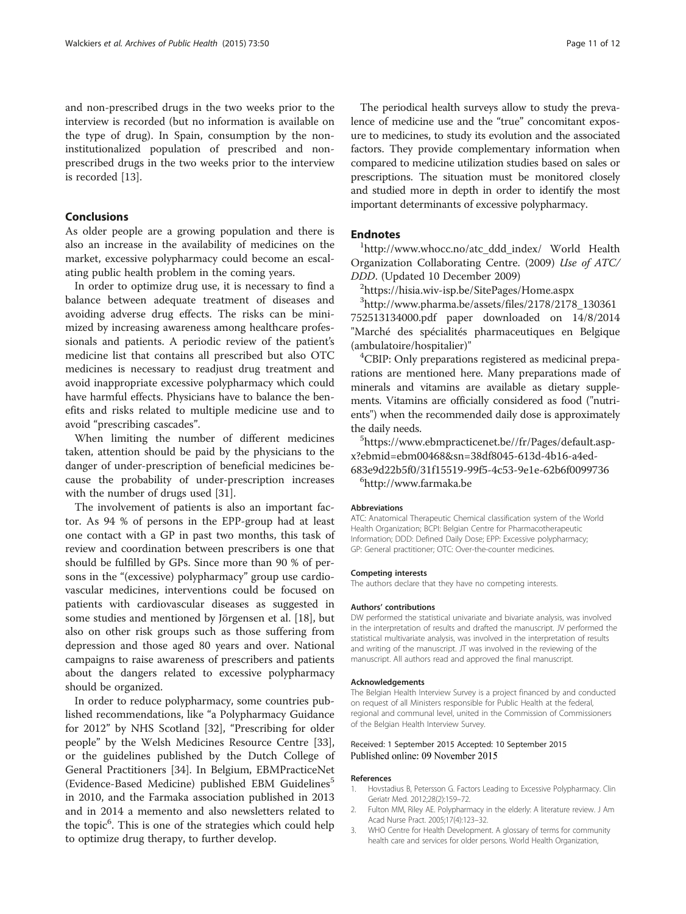<span id="page-10-0"></span>and non-prescribed drugs in the two weeks prior to the interview is recorded (but no information is available on the type of drug). In Spain, consumption by the noninstitutionalized population of prescribed and nonprescribed drugs in the two weeks prior to the interview is recorded [\[13](#page-11-0)].

## Conclusions

As older people are a growing population and there is also an increase in the availability of medicines on the market, excessive polypharmacy could become an escalating public health problem in the coming years.

In order to optimize drug use, it is necessary to find a balance between adequate treatment of diseases and avoiding adverse drug effects. The risks can be minimized by increasing awareness among healthcare professionals and patients. A periodic review of the patient's medicine list that contains all prescribed but also OTC medicines is necessary to readjust drug treatment and avoid inappropriate excessive polypharmacy which could have harmful effects. Physicians have to balance the benefits and risks related to multiple medicine use and to avoid "prescribing cascades".

When limiting the number of different medicines taken, attention should be paid by the physicians to the danger of under-prescription of beneficial medicines because the probability of under-prescription increases with the number of drugs used [[31\]](#page-11-0).

The involvement of patients is also an important factor. As 94 % of persons in the EPP-group had at least one contact with a GP in past two months, this task of review and coordination between prescribers is one that should be fulfilled by GPs. Since more than 90 % of persons in the "(excessive) polypharmacy" group use cardiovascular medicines, interventions could be focused on patients with cardiovascular diseases as suggested in some studies and mentioned by Jörgensen et al. [[18\]](#page-11-0), but also on other risk groups such as those suffering from depression and those aged 80 years and over. National campaigns to raise awareness of prescribers and patients about the dangers related to excessive polypharmacy should be organized.

In order to reduce polypharmacy, some countries published recommendations, like "a Polypharmacy Guidance for 2012" by NHS Scotland [[32](#page-11-0)], "Prescribing for older people" by the Welsh Medicines Resource Centre [\[33](#page-11-0)], or the guidelines published by the Dutch College of General Practitioners [\[34](#page-11-0)]. In Belgium, EBMPracticeNet (Evidence-Based Medicine) published EBM Guidelines<sup>5</sup> in 2010, and the Farmaka association published in 2013 and in 2014 a memento and also newsletters related to the topic<sup>6</sup>. This is one of the strategies which could help to optimize drug therapy, to further develop.

The periodical health surveys allow to study the prevalence of medicine use and the "true" concomitant exposure to medicines, to study its evolution and the associated factors. They provide complementary information when compared to medicine utilization studies based on sales or prescriptions. The situation must be monitored closely and studied more in depth in order to identify the most important determinants of excessive polypharmacy.

## **Endnotes**

[http://www.whocc.no/atc\\_ddd\\_index/](http://www.whocc.no/atc_ddd_index/) World Health Organization Collaborating Centre. (2009) Use of ATC/ DDD. (Updated 10 December 2009)

<sup>2</sup><https://hisia.wiv-isp.be/SitePages/Home.aspx>

3 [http://www.pharma.be/assets/files/2178/2178\\_130361](http://www.pharma.be/assets/files/2178/2178_130361752513134000.pdf) [752513134000.pdf](http://www.pharma.be/assets/files/2178/2178_130361752513134000.pdf) paper downloaded on 14/8/2014 "Marché des spécialités pharmaceutiques en Belgique (ambulatoire/hospitalier)" <sup>4</sup>

<sup>4</sup>CBIP: Only preparations registered as medicinal preparations are mentioned here. Many preparations made of minerals and vitamins are available as dietary supplements. Vitamins are officially considered as food ("nutrients") when the recommended daily dose is approximately the daily needs.

[https://www.ebmpracticenet.be//fr/Pages/default.asp](https://www.ebmpracticenet.be//fr/Pages/default.aspx?ebmid=ebm00468&sn=38df8045-613d-4b16-a4ed-683e9d22b5f0/31f15519-99f5-4c53-9e1e-62b6f0099736)[x?ebmid=ebm00468&sn=38df8045-613d-4b16-a4ed-](https://www.ebmpracticenet.be//fr/Pages/default.aspx?ebmid=ebm00468&sn=38df8045-613d-4b16-a4ed-683e9d22b5f0/31f15519-99f5-4c53-9e1e-62b6f0099736)[683e9d22b5f0/31f15519-99f5-4c53-9e1e-62b6f0099736](https://www.ebmpracticenet.be//fr/Pages/default.aspx?ebmid=ebm00468&sn=38df8045-613d-4b16-a4ed-683e9d22b5f0/31f15519-99f5-4c53-9e1e-62b6f0099736) <sup>6</sup> <http://www.farmaka.be>

#### Abbreviations

ATC: Anatomical Therapeutic Chemical classification system of the World Health Organization; BCPI: Belgian Centre for Pharmacotherapeutic Information; DDD: Defined Daily Dose; EPP: Excessive polypharmacy; GP: General practitioner; OTC: Over-the-counter medicines.

#### Competing interests

The authors declare that they have no competing interests.

#### Authors' contributions

DW performed the statistical univariate and bivariate analysis, was involved in the interpretation of results and drafted the manuscript. JV performed the statistical multivariate analysis, was involved in the interpretation of results and writing of the manuscript. JT was involved in the reviewing of the manuscript. All authors read and approved the final manuscript.

#### Acknowledgements

The Belgian Health Interview Survey is a project financed by and conducted on request of all Ministers responsible for Public Health at the federal, regional and communal level, united in the Commission of Commissioners of the Belgian Health Interview Survey.

#### Received: 1 September 2015 Accepted: 10 September 2015 Published online: 09 November 2015

#### References

- 1. Hovstadius B, Petersson G. Factors Leading to Excessive Polypharmacy. Clin Geriatr Med. 2012;28(2):159–72.
- 2. Fulton MM, Riley AE. Polypharmacy in the elderly: A literature review. J Am Acad Nurse Pract. 2005;17(4):123–32.
- 3. WHO Centre for Health Development. A glossary of terms for community health care and services for older persons. World Health Organization,